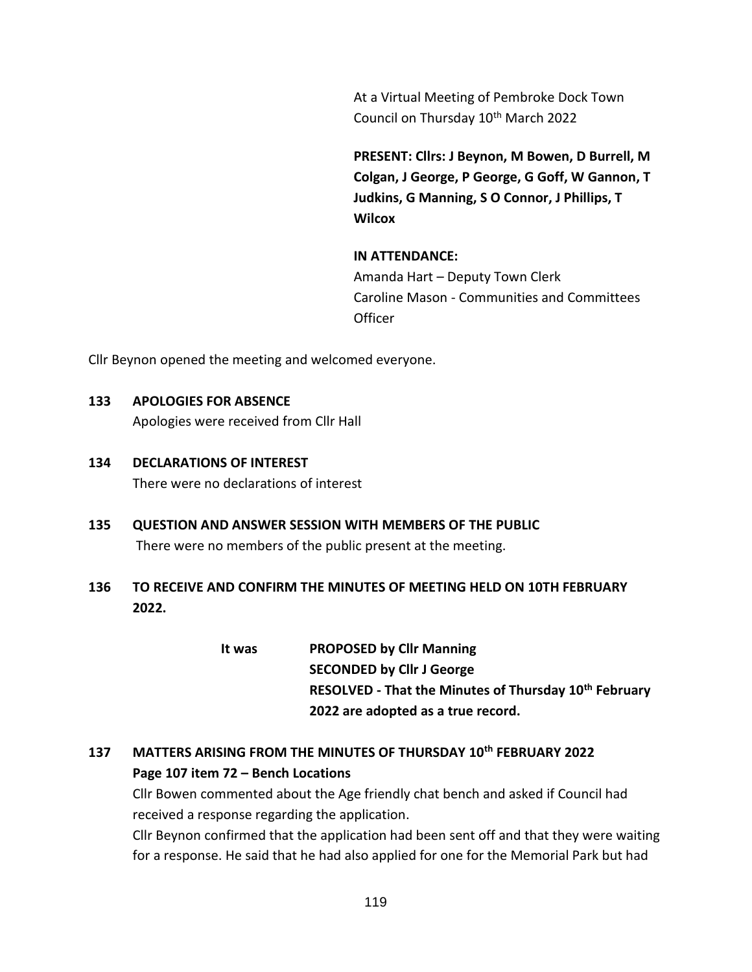At a Virtual Meeting of Pembroke Dock Town Council on Thursday 10<sup>th</sup> March 2022

**PRESENT: Cllrs: J Beynon, M Bowen, D Burrell, M Colgan, J George, P George, G Goff, W Gannon, T Judkins, G Manning, S O Connor, J Phillips, T Wilcox**

## **IN ATTENDANCE:**

Amanda Hart – Deputy Town Clerk Caroline Mason - Communities and Committees **Officer** 

Cllr Beynon opened the meeting and welcomed everyone.

## **133 APOLOGIES FOR ABSENCE**

Apologies were received from Cllr Hall

- **134 DECLARATIONS OF INTEREST** There were no declarations of interest
- **135 QUESTION AND ANSWER SESSION WITH MEMBERS OF THE PUBLIC** There were no members of the public present at the meeting.
- **136 TO RECEIVE AND CONFIRM THE MINUTES OF MEETING HELD ON 10TH FEBRUARY 2022.**

**It was PROPOSED by Cllr Manning SECONDED by Cllr J George RESOLVED - That the Minutes of Thursday 10th February 2022 are adopted as a true record.**

# **137 MATTERS ARISING FROM THE MINUTES OF THURSDAY 10th FEBRUARY 2022 Page 107 item 72 – Bench Locations**

Cllr Bowen commented about the Age friendly chat bench and asked if Council had received a response regarding the application.

Cllr Beynon confirmed that the application had been sent off and that they were waiting for a response. He said that he had also applied for one for the Memorial Park but had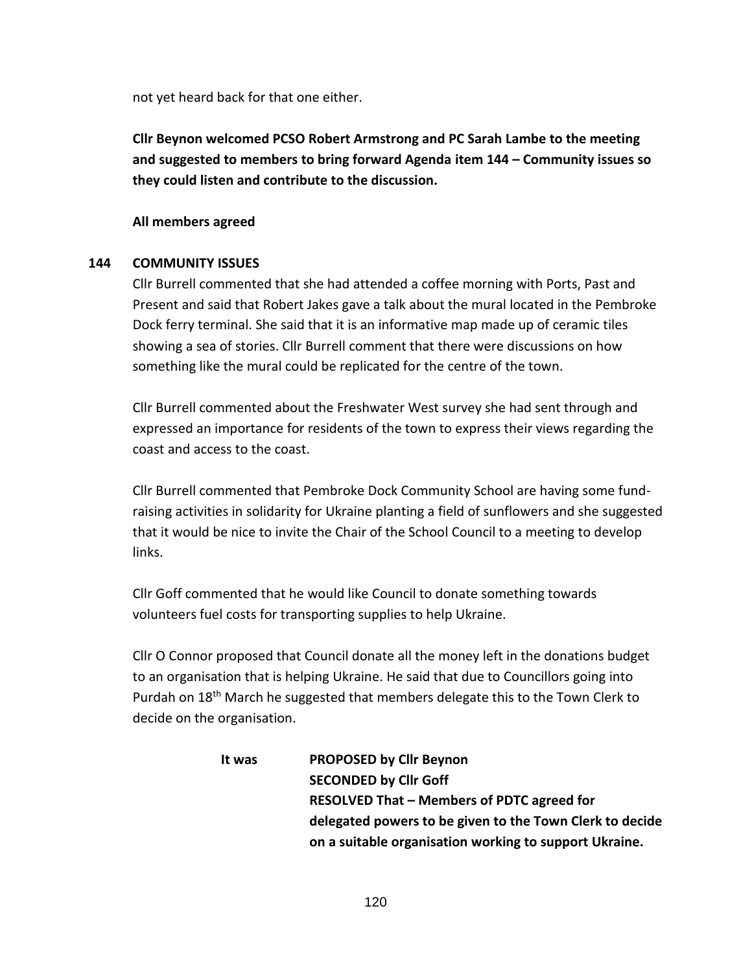not yet heard back for that one either.

**Cllr Beynon welcomed PCSO Robert Armstrong and PC Sarah Lambe to the meeting and suggested to members to bring forward Agenda item 144 – Community issues so they could listen and contribute to the discussion.**

## **All members agreed**

## **144 COMMUNITY ISSUES**

Cllr Burrell commented that she had attended a coffee morning with Ports, Past and Present and said that Robert Jakes gave a talk about the mural located in the Pembroke Dock ferry terminal. She said that it is an informative map made up of ceramic tiles showing a sea of stories. Cllr Burrell comment that there were discussions on how something like the mural could be replicated for the centre of the town.

Cllr Burrell commented about the Freshwater West survey she had sent through and expressed an importance for residents of the town to express their views regarding the coast and access to the coast.

Cllr Burrell commented that Pembroke Dock Community School are having some fundraising activities in solidarity for Ukraine planting a field of sunflowers and she suggested that it would be nice to invite the Chair of the School Council to a meeting to develop links.

Cllr Goff commented that he would like Council to donate something towards volunteers fuel costs for transporting supplies to help Ukraine.

Cllr O Connor proposed that Council donate all the money left in the donations budget to an organisation that is helping Ukraine. He said that due to Councillors going into Purdah on 18<sup>th</sup> March he suggested that members delegate this to the Town Clerk to decide on the organisation.

| It was | <b>PROPOSED by Cllr Beynon</b>                           |
|--------|----------------------------------------------------------|
|        | <b>SECONDED by Cllr Goff</b>                             |
|        | <b>RESOLVED That - Members of PDTC agreed for</b>        |
|        | delegated powers to be given to the Town Clerk to decide |
|        | on a suitable organisation working to support Ukraine.   |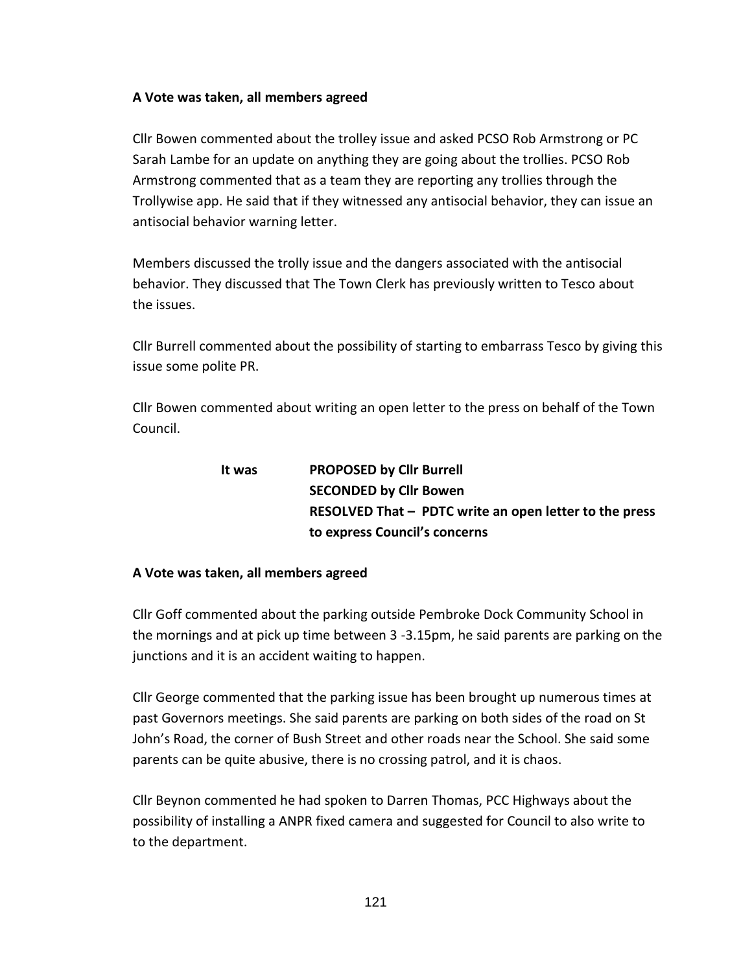## **A Vote was taken, all members agreed**

Cllr Bowen commented about the trolley issue and asked PCSO Rob Armstrong or PC Sarah Lambe for an update on anything they are going about the trollies. PCSO Rob Armstrong commented that as a team they are reporting any trollies through the Trollywise app. He said that if they witnessed any antisocial behavior, they can issue an antisocial behavior warning letter.

Members discussed the trolly issue and the dangers associated with the antisocial behavior. They discussed that The Town Clerk has previously written to Tesco about the issues.

Cllr Burrell commented about the possibility of starting to embarrass Tesco by giving this issue some polite PR.

Cllr Bowen commented about writing an open letter to the press on behalf of the Town Council.

| It was | <b>PROPOSED by Cllr Burrell</b>                        |
|--------|--------------------------------------------------------|
|        | <b>SECONDED by Cllr Bowen</b>                          |
|        | RESOLVED That - PDTC write an open letter to the press |
|        | to express Council's concerns                          |

## **A Vote was taken, all members agreed**

Cllr Goff commented about the parking outside Pembroke Dock Community School in the mornings and at pick up time between 3 -3.15pm, he said parents are parking on the junctions and it is an accident waiting to happen.

Cllr George commented that the parking issue has been brought up numerous times at past Governors meetings. She said parents are parking on both sides of the road on St John's Road, the corner of Bush Street and other roads near the School. She said some parents can be quite abusive, there is no crossing patrol, and it is chaos.

Cllr Beynon commented he had spoken to Darren Thomas, PCC Highways about the possibility of installing a ANPR fixed camera and suggested for Council to also write to to the department.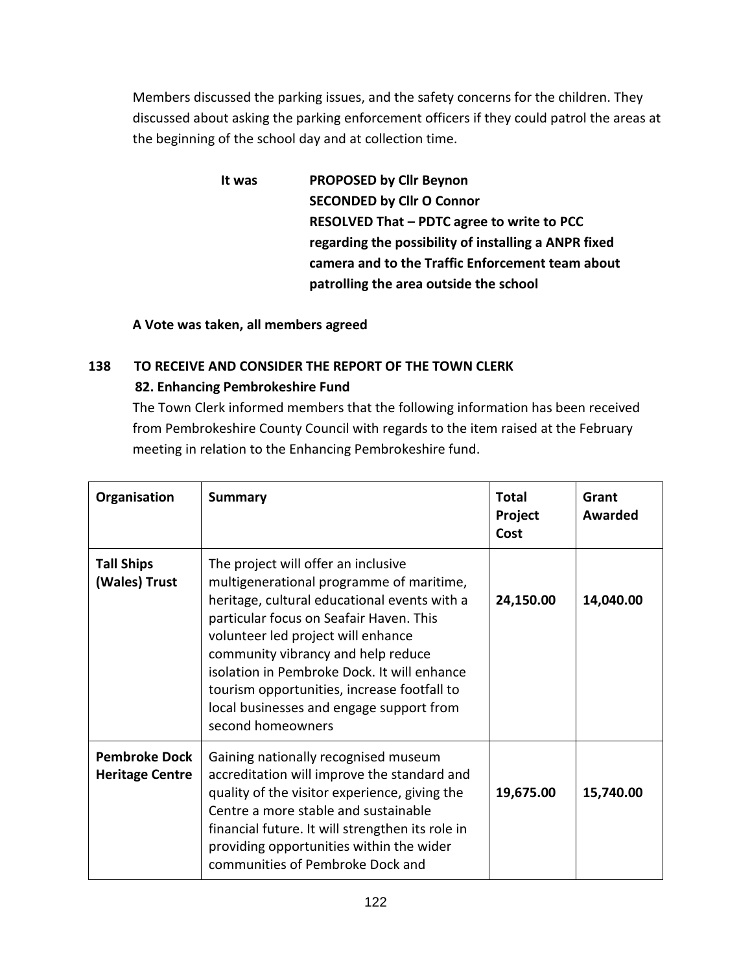Members discussed the parking issues, and the safety concerns for the children. They discussed about asking the parking enforcement officers if they could patrol the areas at the beginning of the school day and at collection time.

> **It was PROPOSED by Cllr Beynon SECONDED by Cllr O Connor RESOLVED That – PDTC agree to write to PCC regarding the possibility of installing a ANPR fixed camera and to the Traffic Enforcement team about patrolling the area outside the school**

**A Vote was taken, all members agreed**

# **138 TO RECEIVE AND CONSIDER THE REPORT OF THE TOWN CLERK 82. Enhancing Pembrokeshire Fund**

The Town Clerk informed members that the following information has been received from Pembrokeshire County Council with regards to the item raised at the February meeting in relation to the Enhancing Pembrokeshire fund.

| Organisation                                   | <b>Summary</b>                                                                                                                                                                                                                                                                                                                                                                                                        | <b>Total</b><br>Project<br>Cost | Grant<br>Awarded |
|------------------------------------------------|-----------------------------------------------------------------------------------------------------------------------------------------------------------------------------------------------------------------------------------------------------------------------------------------------------------------------------------------------------------------------------------------------------------------------|---------------------------------|------------------|
| <b>Tall Ships</b><br>(Wales) Trust             | The project will offer an inclusive<br>multigenerational programme of maritime,<br>heritage, cultural educational events with a<br>particular focus on Seafair Haven. This<br>volunteer led project will enhance<br>community vibrancy and help reduce<br>isolation in Pembroke Dock. It will enhance<br>tourism opportunities, increase footfall to<br>local businesses and engage support from<br>second homeowners | 24,150.00                       | 14,040.00        |
| <b>Pembroke Dock</b><br><b>Heritage Centre</b> | Gaining nationally recognised museum<br>accreditation will improve the standard and<br>quality of the visitor experience, giving the<br>Centre a more stable and sustainable<br>financial future. It will strengthen its role in<br>providing opportunities within the wider<br>communities of Pembroke Dock and                                                                                                      | 19,675.00                       | 15,740.00        |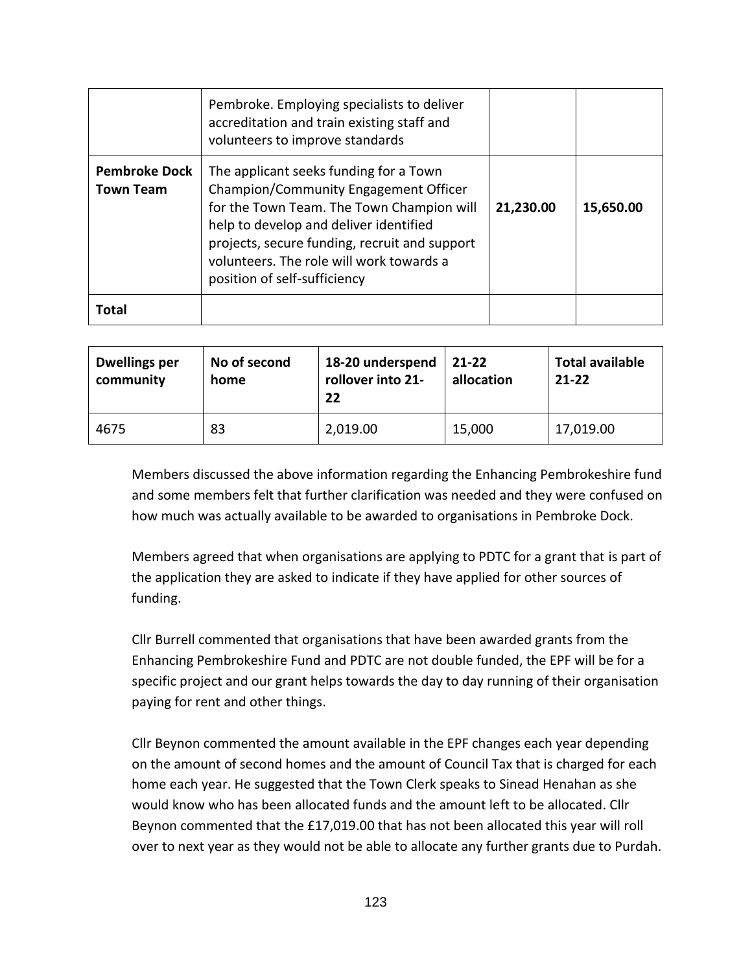|                                          | Pembroke. Employing specialists to deliver<br>accreditation and train existing staff and<br>volunteers to improve standards                                                                                                                                                                         |           |           |
|------------------------------------------|-----------------------------------------------------------------------------------------------------------------------------------------------------------------------------------------------------------------------------------------------------------------------------------------------------|-----------|-----------|
| <b>Pembroke Dock</b><br><b>Town Team</b> | The applicant seeks funding for a Town<br>Champion/Community Engagement Officer<br>for the Town Team. The Town Champion will<br>help to develop and deliver identified<br>projects, secure funding, recruit and support<br>volunteers. The role will work towards a<br>position of self-sufficiency | 21,230.00 | 15,650.00 |
| Total                                    |                                                                                                                                                                                                                                                                                                     |           |           |

| <b>Dwellings per</b><br>community | No of second<br>home | 18-20 underspend<br>rollover into 21-<br>22 | 21-22<br>allocation | <b>Total available</b><br>$21 - 22$ |
|-----------------------------------|----------------------|---------------------------------------------|---------------------|-------------------------------------|
| 4675                              | 83                   | 2,019.00                                    | 15,000              | 17,019.00                           |

 Members discussed the above information regarding the Enhancing Pembrokeshire fund and some members felt that further clarification was needed and they were confused on how much was actually available to be awarded to organisations in Pembroke Dock.

 Members agreed that when organisations are applying to PDTC for a grant that is part of the application they are asked to indicate if they have applied for other sources of funding.

 Cllr Burrell commented that organisations that have been awarded grants from the Enhancing Pembrokeshire Fund and PDTC are not double funded, the EPF will be for a specific project and our grant helps towards the day to day running of their organisation paying for rent and other things.

 Cllr Beynon commented the amount available in the EPF changes each year depending on the amount of second homes and the amount of Council Tax that is charged for each home each year. He suggested that the Town Clerk speaks to Sinead Henahan as she would know who has been allocated funds and the amount left to be allocated. Cllr Beynon commented that the £17,019.00 that has not been allocated this year will roll over to next year as they would not be able to allocate any further grants due to Purdah.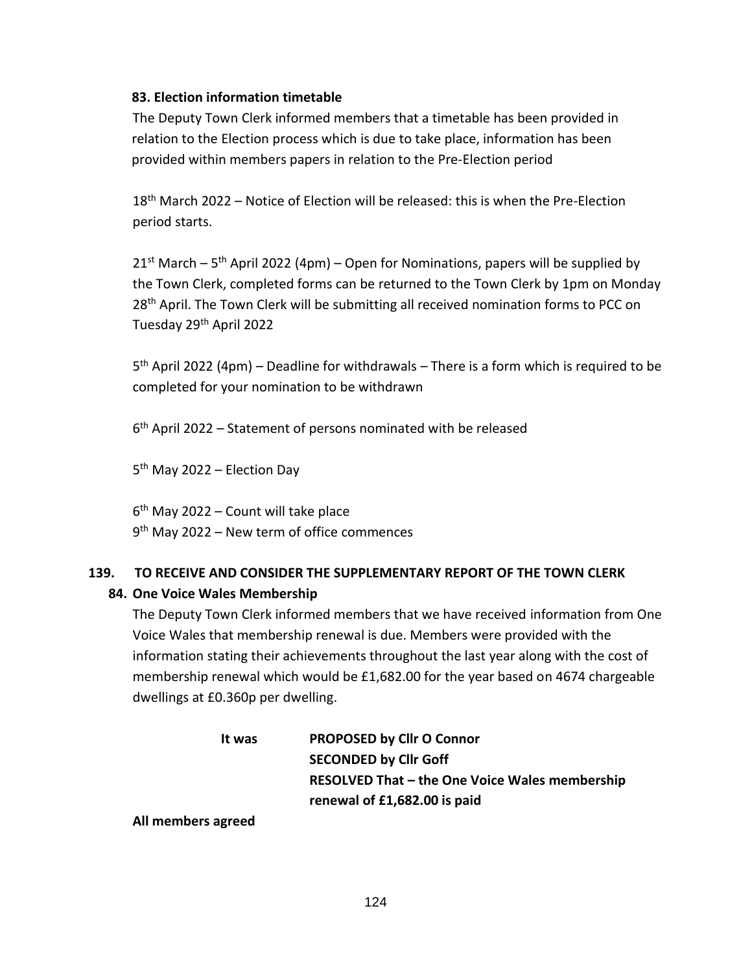## **83. Election information timetable**

The Deputy Town Clerk informed members that a timetable has been provided in relation to the Election process which is due to take place, information has been provided within members papers in relation to the Pre-Election period

18<sup>th</sup> March 2022 – Notice of Election will be released: this is when the Pre-Election period starts.

 $21<sup>st</sup>$  March – 5<sup>th</sup> April 2022 (4pm) – Open for Nominations, papers will be supplied by the Town Clerk, completed forms can be returned to the Town Clerk by 1pm on Monday 28<sup>th</sup> April. The Town Clerk will be submitting all received nomination forms to PCC on Tuesday 29th April 2022

5<sup>th</sup> April 2022 (4pm) – Deadline for withdrawals – There is a form which is required to be completed for your nomination to be withdrawn

6 th April 2022 – Statement of persons nominated with be released

5<sup>th</sup> May 2022 – Election Day

6 th May 2022 – Count will take place 9<sup>th</sup> May 2022 – New term of office commences

## **139. TO RECEIVE AND CONSIDER THE SUPPLEMENTARY REPORT OF THE TOWN CLERK**

## **84. One Voice Wales Membership**

The Deputy Town Clerk informed members that we have received information from One Voice Wales that membership renewal is due. Members were provided with the information stating their achievements throughout the last year along with the cost of membership renewal which would be £1,682.00 for the year based on 4674 chargeable dwellings at £0.360p per dwelling.

| It was | <b>PROPOSED by Cllr O Connor</b>                      |
|--------|-------------------------------------------------------|
|        | <b>SECONDED by Cllr Goff</b>                          |
|        | <b>RESOLVED That - the One Voice Wales membership</b> |
|        | renewal of £1,682.00 is paid                          |

**All members agreed**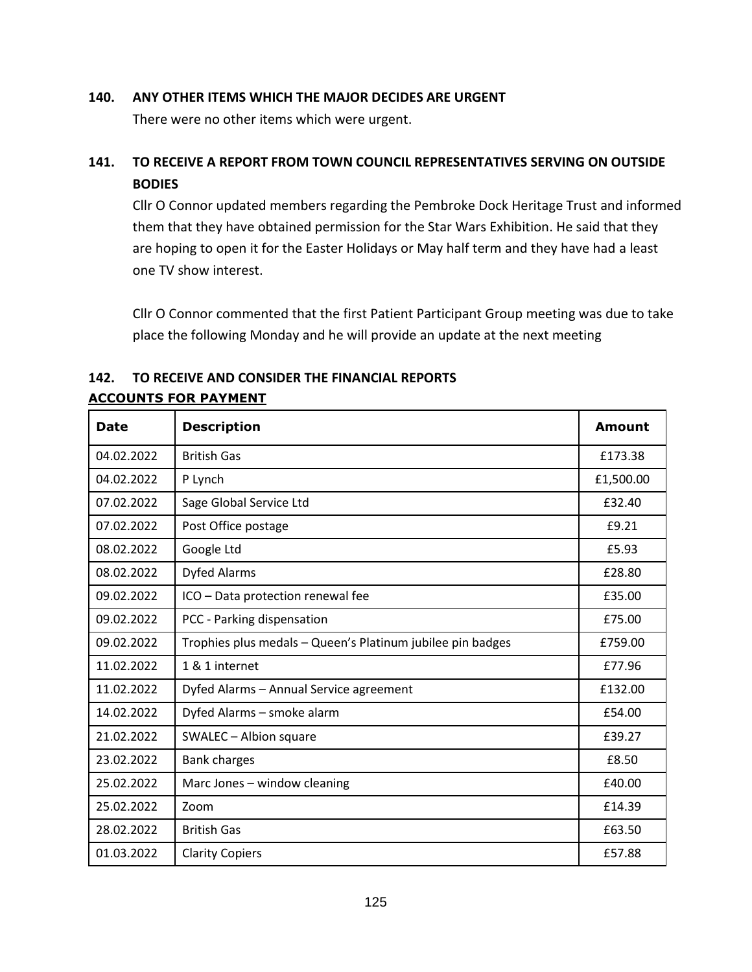#### **140. ANY OTHER ITEMS WHICH THE MAJOR DECIDES ARE URGENT**

There were no other items which were urgent.

# **141. TO RECEIVE A REPORT FROM TOWN COUNCIL REPRESENTATIVES SERVING ON OUTSIDE BODIES**

Cllr O Connor updated members regarding the Pembroke Dock Heritage Trust and informed them that they have obtained permission for the Star Wars Exhibition. He said that they are hoping to open it for the Easter Holidays or May half term and they have had a least one TV show interest.

Cllr O Connor commented that the first Patient Participant Group meeting was due to take place the following Monday and he will provide an update at the next meeting

| <b>Date</b> | <b>Description</b>                                         | <b>Amount</b> |
|-------------|------------------------------------------------------------|---------------|
| 04.02.2022  | <b>British Gas</b>                                         | £173.38       |
| 04.02.2022  | P Lynch                                                    | £1,500.00     |
| 07.02.2022  | Sage Global Service Ltd                                    | £32.40        |
| 07.02.2022  | Post Office postage                                        | £9.21         |
| 08.02.2022  | Google Ltd                                                 | £5.93         |
| 08.02.2022  | <b>Dyfed Alarms</b>                                        | £28.80        |
| 09.02.2022  | ICO - Data protection renewal fee                          | £35.00        |
| 09.02.2022  | PCC - Parking dispensation                                 | £75.00        |
| 09.02.2022  | Trophies plus medals - Queen's Platinum jubilee pin badges | £759.00       |
| 11.02.2022  | 1 & 1 internet                                             | £77.96        |
| 11.02.2022  | Dyfed Alarms - Annual Service agreement                    | £132.00       |
| 14.02.2022  | Dyfed Alarms - smoke alarm                                 | £54.00        |
| 21.02.2022  | SWALEC - Albion square                                     | £39.27        |
| 23.02.2022  | <b>Bank charges</b>                                        | £8.50         |
| 25.02.2022  | Marc Jones - window cleaning                               | £40.00        |
| 25.02.2022  | Zoom                                                       | £14.39        |
| 28.02.2022  | <b>British Gas</b>                                         | £63.50        |
| 01.03.2022  | <b>Clarity Copiers</b>                                     | £57.88        |

# **142. TO RECEIVE AND CONSIDER THE FINANCIAL REPORTS**

## **ACCOUNTS FOR PAYMENT**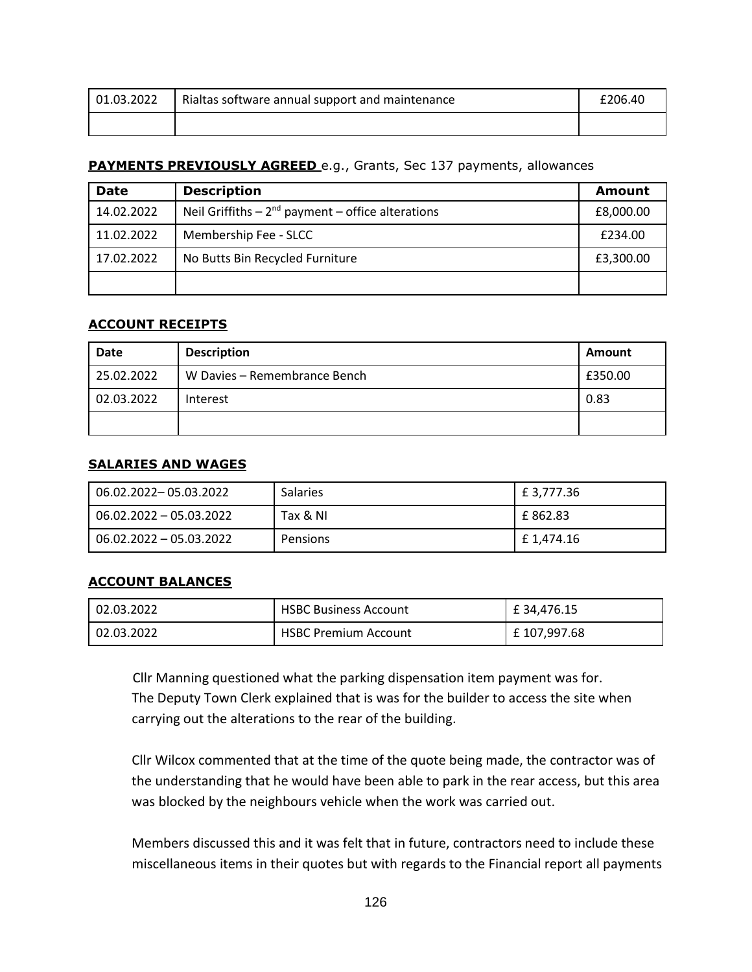| 01.03.2022 | Rialtas software annual support and maintenance | £206.40 |
|------------|-------------------------------------------------|---------|
|            |                                                 |         |

## **PAYMENTS PREVIOUSLY AGREED** e.g., Grants, Sec 137 payments, allowances

| <b>Date</b> | <b>Description</b>                                      | Amount    |
|-------------|---------------------------------------------------------|-----------|
| 14.02.2022  | Neil Griffiths $-2^{nd}$ payment $-$ office alterations | £8,000.00 |
| 11.02.2022  | Membership Fee - SLCC                                   | £234.00   |
| 17.02.2022  | No Butts Bin Recycled Furniture                         | £3,300.00 |
|             |                                                         |           |

#### **ACCOUNT RECEIPTS**

| <b>Date</b> | <b>Description</b>           | Amount  |
|-------------|------------------------------|---------|
| 25.02.2022  | W Davies – Remembrance Bench | £350.00 |
| 02.03.2022  | Interest                     | 0.83    |
|             |                              |         |

#### **SALARIES AND WAGES**

| 06.02.2022-05.03.2022     | <b>Salaries</b> | £ 3,777.36 |
|---------------------------|-----------------|------------|
| 06.02.2022 - 05.03.2022   | Tax & NI        | E 862.83   |
| $06.02.2022 - 05.03.2022$ | Pensions        | £ 1,474.16 |

#### **ACCOUNT BALANCES**

| 02.03.2022 | <b>HSBC Business Account</b> | £34,476.15   |
|------------|------------------------------|--------------|
| 02.03.2022 | <b>HSBC Premium Account</b>  | £ 107,997.68 |

Cllr Manning questioned what the parking dispensation item payment was for. The Deputy Town Clerk explained that is was for the builder to access the site when carrying out the alterations to the rear of the building.

 Cllr Wilcox commented that at the time of the quote being made, the contractor was of the understanding that he would have been able to park in the rear access, but this area was blocked by the neighbours vehicle when the work was carried out.

 Members discussed this and it was felt that in future, contractors need to include these miscellaneous items in their quotes but with regards to the Financial report all payments